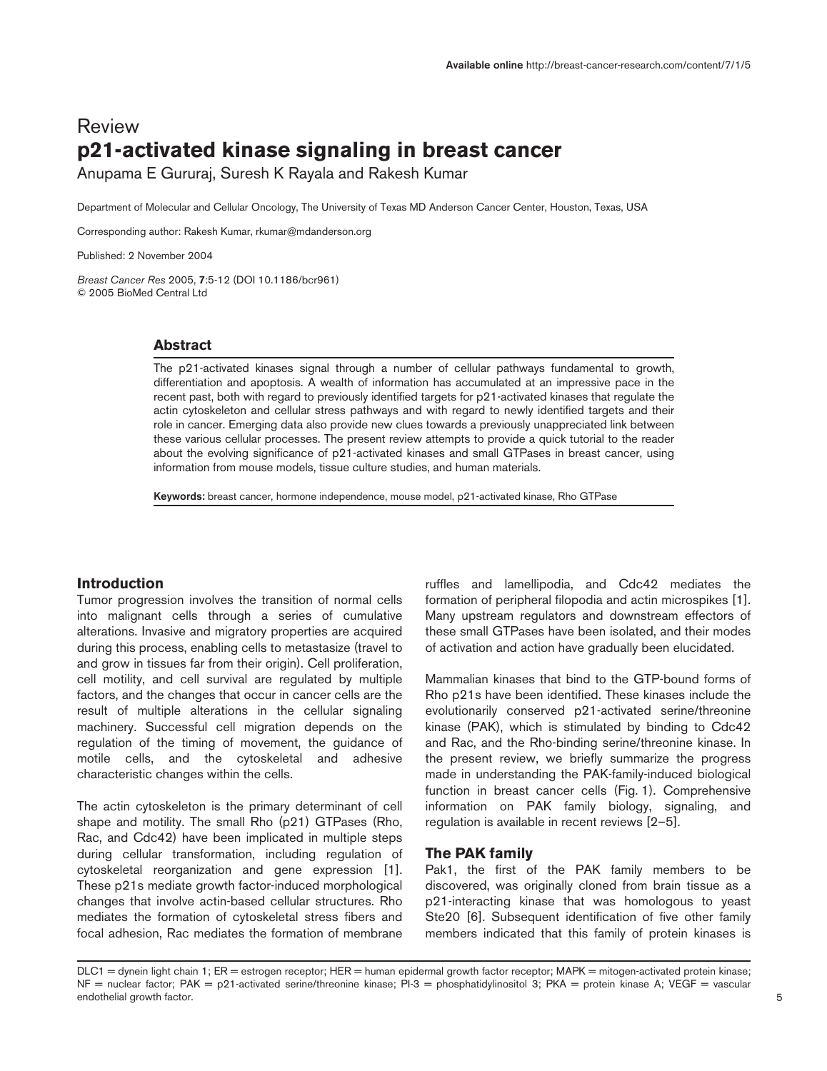# Review **p21-activated kinase signaling in breast cancer**

Anupama E Gururaj, Suresh K Rayala and Rakesh Kumar

Department of Molecular and Cellular Oncology, The University of Texas MD Anderson Cancer Center, Houston, Texas, USA

Corresponding author: Rakesh Kumar, rkumar@mdanderson.org

Published: 2 November 2004

Breast Cancer Res 2005, 7:5-12 (DOI 10.1186/bcr961) © 2005 BioMed Central Ltd

# **Abstract**

The p21-activated kinases signal through a number of cellular pathways fundamental to growth, differentiation and apoptosis. A wealth of information has accumulated at an impressive pace in the recent past, both with regard to previously identified targets for p21-activated kinases that regulate the actin cytoskeleton and cellular stress pathways and with regard to newly identified targets and their role in cancer. Emerging data also provide new clues towards a previously unappreciated link between these various cellular processes. The present review attempts to provide a quick tutorial to the reader about the evolving significance of p21-activated kinases and small GTPases in breast cancer, using information from mouse models, tissue culture studies, and human materials.

Keywords: breast cancer, hormone independence, mouse model, p21-activated kinase, Rho GTPase

# **Introduction**

Tumor progression involves the transition of normal cells into malignant cells through a series of cumulative alterations. Invasive and migratory properties are acquired during this process, enabling cells to metastasize (travel to and grow in tissues far from their origin). Cell proliferation, cell motility, and cell survival are regulated by multiple factors, and the changes that occur in cancer cells are the result of multiple alterations in the cellular signaling machinery. Successful cell migration depends on the regulation of the timing of movement, the guidance of motile cells, and the cytoskeletal and adhesive characteristic changes within the cells.

The actin cytoskeleton is the primary determinant of cell shape and motility. The small Rho (p21) GTPases (Rho, Rac, and Cdc42) have been implicated in multiple steps during cellular transformation, including regulation of cytoskeletal reorganization and gene expression [1]. These p21s mediate growth factor-induced morphological changes that involve actin-based cellular structures. Rho mediates the formation of cytoskeletal stress fibers and focal adhesion, Rac mediates the formation of membrane

ruffles and lamellipodia, and Cdc42 mediates the formation of peripheral filopodia and actin microspikes [1]. Many upstream regulators and downstream effectors of these small GTPases have been isolated, and their modes of activation and action have gradually been elucidated.

Mammalian kinases that bind to the GTP-bound forms of Rho p21s have been identified. These kinases include the evolutionarily conserved p21-activated serine/threonine kinase (PAK), which is stimulated by binding to Cdc42 and Rac, and the Rho-binding serine/threonine kinase. In the present review, we briefly summarize the progress made in understanding the PAK-family-induced biological function in breast cancer cells (Fig. 1). Comprehensive information on PAK family biology, signaling, and regulation is available in recent reviews [2–5].

## **The PAK family**

Pak1, the first of the PAK family members to be discovered, was originally cloned from brain tissue as a p21-interacting kinase that was homologous to yeast Ste20 [6]. Subsequent identification of five other family members indicated that this family of protein kinases is

DLC1 = dynein light chain 1; ER = estrogen receptor; HER = human epidermal growth factor receptor; MAPK = mitogen-activated protein kinase; NF = nuclear factor; PAK = p21-activated serine/threonine kinase; PI-3 = phosphatidylinositol 3; PKA = protein kinase A; VEGF = vascular endothelial growth factor.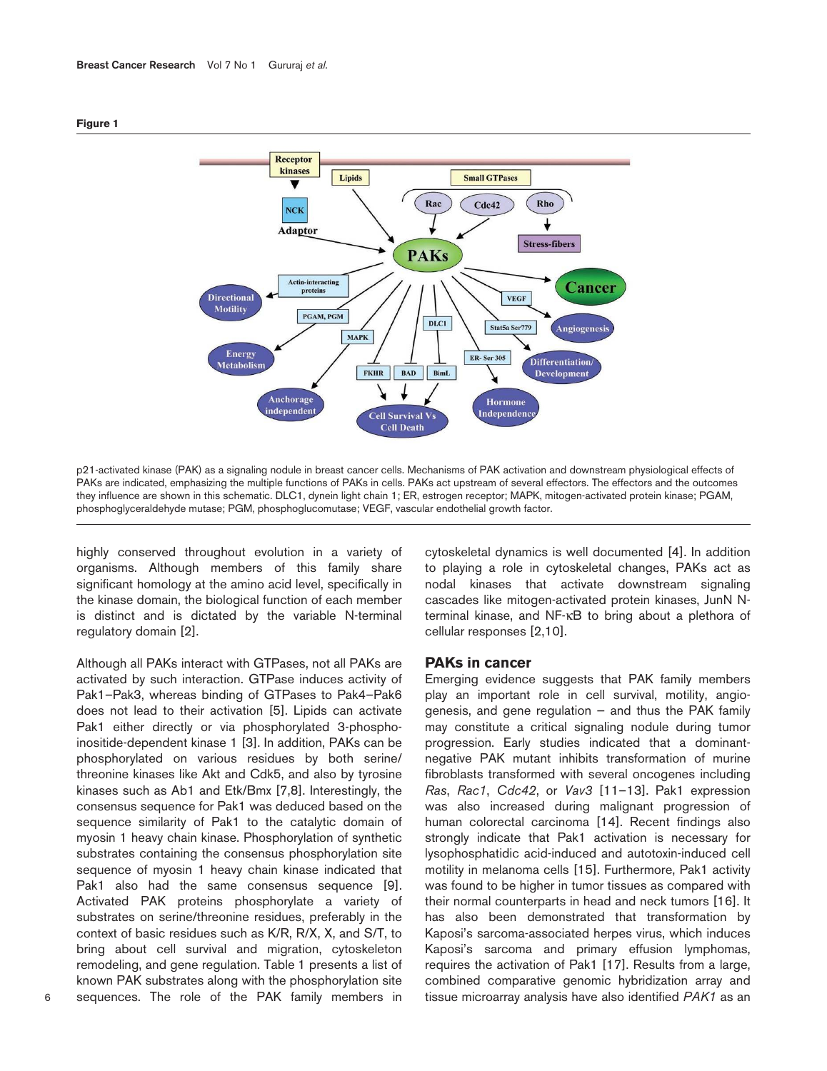

**Figure 1**

p21-activated kinase (PAK) as a signaling nodule in breast cancer cells. Mechanisms of PAK activation and downstream physiological effects of PAKs are indicated, emphasizing the multiple functions of PAKs in cells. PAKs act upstream of several effectors. The effectors and the outcomes they influence are shown in this schematic. DLC1, dynein light chain 1; ER, estrogen receptor; MAPK, mitogen-activated protein kinase; PGAM, phosphoglyceraldehyde mutase; PGM, phosphoglucomutase; VEGF, vascular endothelial growth factor.

highly conserved throughout evolution in a variety of organisms. Although members of this family share significant homology at the amino acid level, specifically in the kinase domain, the biological function of each member is distinct and is dictated by the variable N-terminal regulatory domain [2].

Although all PAKs interact with GTPases, not all PAKs are activated by such interaction. GTPase induces activity of Pak1–Pak3, whereas binding of GTPases to Pak4–Pak6 does not lead to their activation [5]. Lipids can activate Pak1 either directly or via phosphorylated 3-phosphoinositide-dependent kinase 1 [3]. In addition, PAKs can be phosphorylated on various residues by both serine/ threonine kinases like Akt and Cdk5, and also by tyrosine kinases such as Ab1 and Etk/Bmx [7,8]. Interestingly, the consensus sequence for Pak1 was deduced based on the sequence similarity of Pak1 to the catalytic domain of myosin 1 heavy chain kinase. Phosphorylation of synthetic substrates containing the consensus phosphorylation site sequence of myosin 1 heavy chain kinase indicated that Pak1 also had the same consensus sequence [9]. Activated PAK proteins phosphorylate a variety of substrates on serine/threonine residues, preferably in the context of basic residues such as K/R, R/X, X, and S/T, to bring about cell survival and migration, cytoskeleton remodeling, and gene regulation. Table 1 presents a list of known PAK substrates along with the phosphorylation site sequences. The role of the PAK family members in

cytoskeletal dynamics is well documented [4]. In addition to playing a role in cytoskeletal changes, PAKs act as nodal kinases that activate downstream signaling cascades like mitogen-activated protein kinases, JunN Nterminal kinase, and NF-κB to bring about a plethora of cellular responses [2,10].

#### **PAKs in cancer**

Emerging evidence suggests that PAK family members play an important role in cell survival, motility, angiogenesis, and gene regulation  $-$  and thus the PAK family may constitute a critical signaling nodule during tumor progression. Early studies indicated that a dominantnegative PAK mutant inhibits transformation of murine fibroblasts transformed with several oncogenes including Ras, Rac1, Cdc42, or Vav3 [11-13]. Pak1 expression was also increased during malignant progression of human colorectal carcinoma [14]. Recent findings also strongly indicate that Pak1 activation is necessary for lysophosphatidic acid-induced and autotoxin-induced cell motility in melanoma cells [15]. Furthermore, Pak1 activity was found to be higher in tumor tissues as compared with their normal counterparts in head and neck tumors [16]. It has also been demonstrated that transformation by Kaposi's sarcoma-associated herpes virus, which induces Kaposi's sarcoma and primary effusion lymphomas, requires the activation of Pak1 [17]. Results from a large, combined comparative genomic hybridization array and tissue microarray analysis have also identified PAK1 as an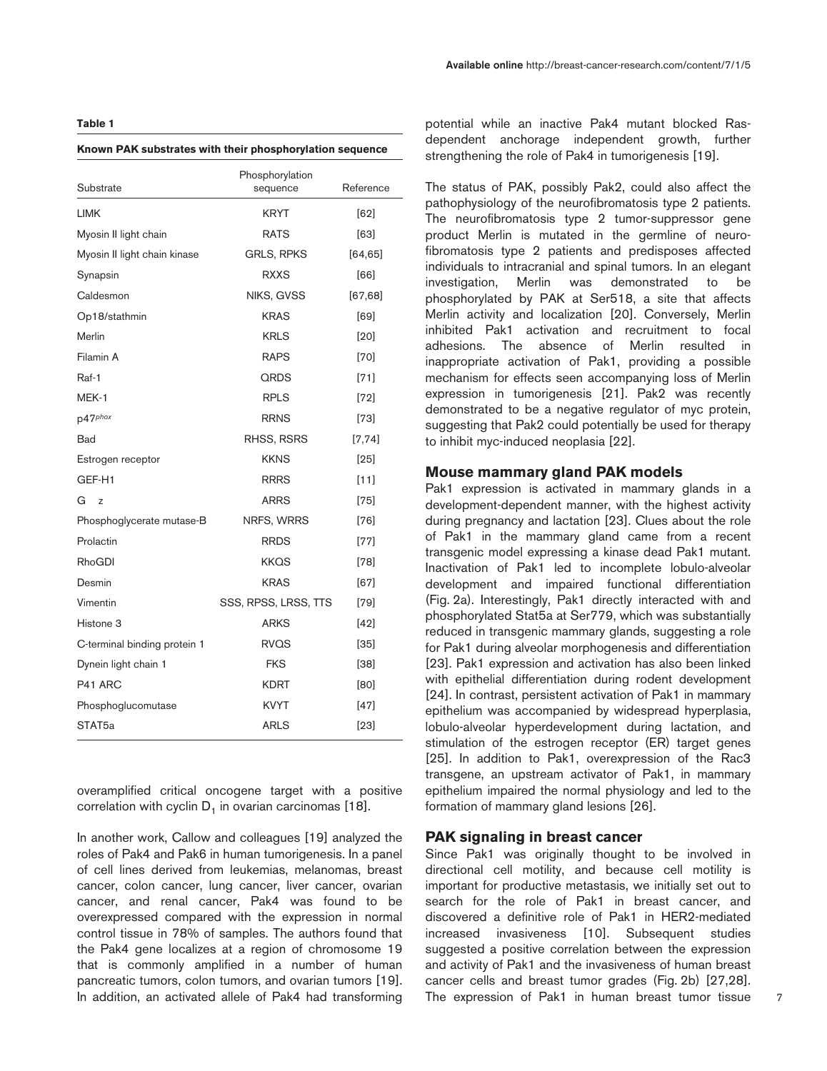#### **Table 1**

#### **Known PAK substrates with their phosphorylation sequence**

| Substrate                    | Phosphorylation<br>sequence | Reference |
|------------------------------|-----------------------------|-----------|
| <b>LIMK</b>                  | <b>KRYT</b>                 | [62]      |
| Myosin II light chain        | <b>RATS</b>                 | [63]      |
| Myosin II light chain kinase | <b>GRLS, RPKS</b>           | [64, 65]  |
| Synapsin                     | <b>RXXS</b>                 | [66]      |
| Caldesmon                    | NIKS, GVSS                  | [67, 68]  |
| Op18/stathmin                | <b>KRAS</b>                 | [69]      |
| Merlin                       | <b>KRLS</b>                 | [20]      |
| Filamin A                    | <b>RAPS</b>                 | [70]      |
| Raf-1                        | QRDS                        | $[71]$    |
| MEK-1                        | <b>RPLS</b>                 | $[72]$    |
| p47phox                      | <b>RRNS</b>                 | $[73]$    |
| Bad                          | RHSS, RSRS                  | [7, 74]   |
| Estrogen receptor            | <b>KKNS</b>                 | $[25]$    |
| GEF-H1                       | <b>RRRS</b>                 | [11]      |
| G<br>Z                       | ARRS                        | $[75]$    |
| Phosphoglycerate mutase-B    | NRFS, WRRS                  | [76]      |
| Prolactin                    | <b>RRDS</b>                 | $[77]$    |
| RhoGDI                       | <b>KKQS</b>                 | $[78]$    |
| Desmin                       | <b>KRAS</b>                 | [67]      |
| Vimentin                     | SSS, RPSS, LRSS, TTS        | $[79]$    |
| Histone 3                    | ARKS                        | $[42]$    |
| C-terminal binding protein 1 | <b>RVQS</b>                 | $[35]$    |
| Dynein light chain 1         | <b>FKS</b>                  | $[38]$    |
| P <sub>41</sub> ARC          | KDRT                        | [80]      |
| Phosphoglucomutase           | <b>KVYT</b>                 | $[47]$    |
| STAT5a                       | <b>ARLS</b>                 | $[23]$    |

overamplified critical oncogene target with a positive correlation with cyclin  $D_1$  in ovarian carcinomas [18].

In another work, Callow and colleagues [19] analyzed the roles of Pak4 and Pak6 in human tumorigenesis. In a panel of cell lines derived from leukemias, melanomas, breast cancer, colon cancer, lung cancer, liver cancer, ovarian cancer, and renal cancer, Pak4 was found to be overexpressed compared with the expression in normal control tissue in 78% of samples. The authors found that the Pak4 gene localizes at a region of chromosome 19 that is commonly amplified in a number of human pancreatic tumors, colon tumors, and ovarian tumors [19]. In addition, an activated allele of Pak4 had transforming

potential while an inactive Pak4 mutant blocked Rasdependent anchorage independent growth, further strengthening the role of Pak4 in tumorigenesis [19].

The status of PAK, possibly Pak2, could also affect the pathophysiology of the neurofibromatosis type 2 patients. The neurofibromatosis type 2 tumor-suppressor gene product Merlin is mutated in the germline of neurofibromatosis type 2 patients and predisposes affected individuals to intracranial and spinal tumors. In an elegant investigation, Merlin was demonstrated to be phosphorylated by PAK at Ser518, a site that affects Merlin activity and localization [20]. Conversely, Merlin inhibited Pak1 activation and recruitment to focal adhesions. The absence of Merlin resulted in inappropriate activation of Pak1, providing a possible mechanism for effects seen accompanying loss of Merlin expression in tumorigenesis [21]. Pak2 was recently demonstrated to be a negative regulator of myc protein, suggesting that Pak2 could potentially be used for therapy to inhibit myc-induced neoplasia [22].

# **Mouse mammary gland PAK models**

Pak1 expression is activated in mammary glands in a development-dependent manner, with the highest activity during pregnancy and lactation [23]. Clues about the role of Pak1 in the mammary gland came from a recent transgenic model expressing a kinase dead Pak1 mutant. Inactivation of Pak1 led to incomplete lobulo-alveolar development and impaired functional differentiation (Fig. 2a). Interestingly, Pak1 directly interacted with and phosphorylated Stat5a at Ser779, which was substantially reduced in transgenic mammary glands, suggesting a role for Pak1 during alveolar morphogenesis and differentiation [23]. Pak1 expression and activation has also been linked with epithelial differentiation during rodent development [24]. In contrast, persistent activation of Pak1 in mammary epithelium was accompanied by widespread hyperplasia, lobulo-alveolar hyperdevelopment during lactation, and stimulation of the estrogen receptor (ER) target genes [25]. In addition to Pak1, overexpression of the Rac3 transgene, an upstream activator of Pak1, in mammary epithelium impaired the normal physiology and led to the formation of mammary gland lesions [26].

#### **PAK signaling in breast cancer**

Since Pak1 was originally thought to be involved in directional cell motility, and because cell motility is important for productive metastasis, we initially set out to search for the role of Pak1 in breast cancer, and discovered a definitive role of Pak1 in HER2-mediated increased invasiveness [10]. Subsequent studies suggested a positive correlation between the expression and activity of Pak1 and the invasiveness of human breast cancer cells and breast tumor grades (Fig. 2b) [27,28]. The expression of Pak1 in human breast tumor tissue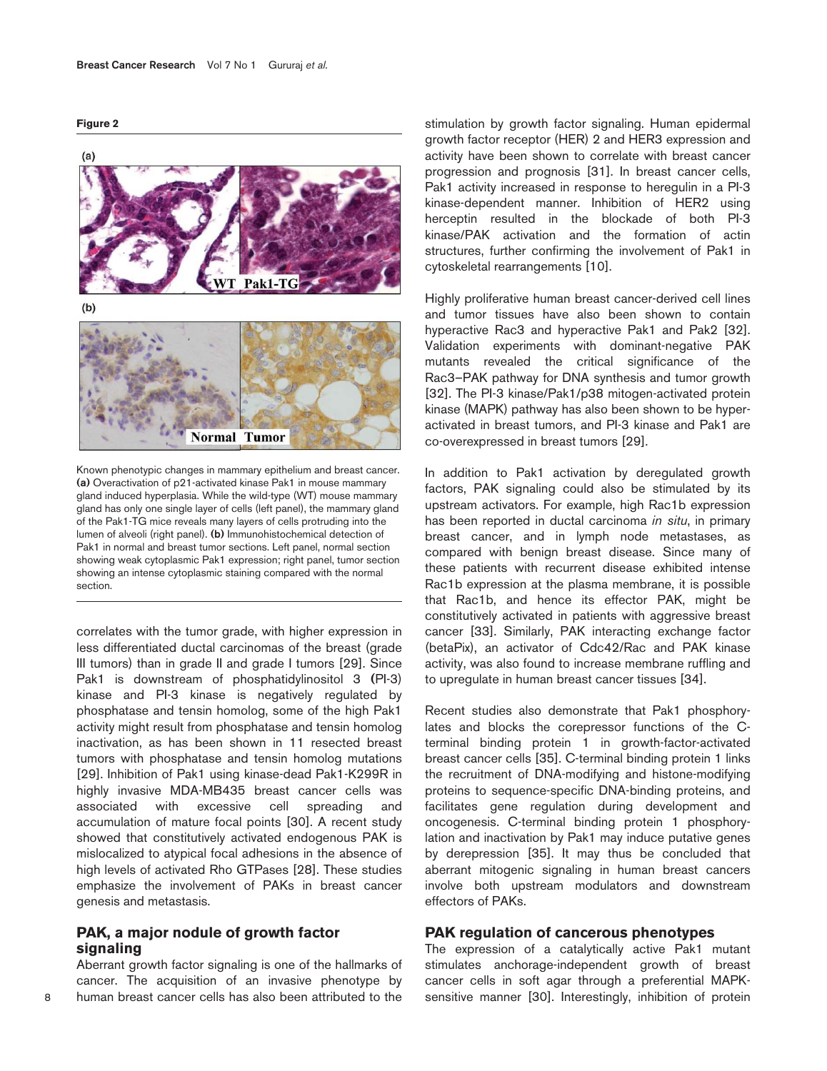**Figure 2**



Known phenotypic changes in mammary epithelium and breast cancer. (a) Overactivation of p21-activated kinase Pak1 in mouse mammary gland induced hyperplasia. While the wild-type (WT) mouse mammary gland has only one single layer of cells (left panel), the mammary gland of the Pak1-TG mice reveals many layers of cells protruding into the lumen of alveoli (right panel). (b) Immunohistochemical detection of Pak1 in normal and breast tumor sections. Left panel, normal section showing weak cytoplasmic Pak1 expression; right panel, tumor section showing an intense cytoplasmic staining compared with the normal section.

correlates with the tumor grade, with higher expression in less differentiated ductal carcinomas of the breast (grade III tumors) than in grade II and grade I tumors [29]. Since Pak1 is downstream of phosphatidylinositol 3 (PI-3) kinase and PI-3 kinase is negatively regulated by phosphatase and tensin homolog, some of the high Pak1 activity might result from phosphatase and tensin homolog inactivation, as has been shown in 11 resected breast tumors with phosphatase and tensin homolog mutations [29]. Inhibition of Pak1 using kinase-dead Pak1-K299R in highly invasive MDA-MB435 breast cancer cells was associated with excessive cell spreading and accumulation of mature focal points [30]. A recent study showed that constitutively activated endogenous PAK is mislocalized to atypical focal adhesions in the absence of high levels of activated Rho GTPases [28]. These studies emphasize the involvement of PAKs in breast cancer genesis and metastasis.

# **PAK, a major nodule of growth factor signaling**

Aberrant growth factor signaling is one of the hallmarks of cancer. The acquisition of an invasive phenotype by human breast cancer cells has also been attributed to the

stimulation by growth factor signaling. Human epidermal growth factor receptor (HER) 2 and HER3 expression and activity have been shown to correlate with breast cancer progression and prognosis [31]. In breast cancer cells, Pak1 activity increased in response to heregulin in a PI-3 kinase-dependent manner. Inhibition of HER2 using herceptin resulted in the blockade of both PI-3 kinase/PAK activation and the formation of actin structures, further confirming the involvement of Pak1 in cytoskeletal rearrangements [10].

Highly proliferative human breast cancer-derived cell lines and tumor tissues have also been shown to contain hyperactive Rac3 and hyperactive Pak1 and Pak2 [32]. Validation experiments with dominant-negative PAK mutants revealed the critical significance of the Rac3–PAK pathway for DNA synthesis and tumor growth [32]. The PI-3 kinase/Pak1/p38 mitogen-activated protein kinase (MAPK) pathway has also been shown to be hyperactivated in breast tumors, and PI-3 kinase and Pak1 are co-overexpressed in breast tumors [29].

In addition to Pak1 activation by deregulated growth factors, PAK signaling could also be stimulated by its upstream activators. For example, high Rac1b expression has been reported in ductal carcinoma in situ, in primary breast cancer, and in lymph node metastases, as compared with benign breast disease. Since many of these patients with recurrent disease exhibited intense Rac1b expression at the plasma membrane, it is possible that Rac1b, and hence its effector PAK, might be constitutively activated in patients with aggressive breast cancer [33]. Similarly, PAK interacting exchange factor (betaPix), an activator of Cdc42/Rac and PAK kinase activity, was also found to increase membrane ruffling and to upregulate in human breast cancer tissues [34].

Recent studies also demonstrate that Pak1 phosphorylates and blocks the corepressor functions of the Cterminal binding protein 1 in growth-factor-activated breast cancer cells [35]. C-terminal binding protein 1 links the recruitment of DNA-modifying and histone-modifying proteins to sequence-specific DNA-binding proteins, and facilitates gene regulation during development and oncogenesis. C-terminal binding protein 1 phosphorylation and inactivation by Pak1 may induce putative genes by derepression [35]. It may thus be concluded that aberrant mitogenic signaling in human breast cancers involve both upstream modulators and downstream effectors of PAKs.

## **PAK regulation of cancerous phenotypes**

The expression of a catalytically active Pak1 mutant stimulates anchorage-independent growth of breast cancer cells in soft agar through a preferential MAPKsensitive manner [30]. Interestingly, inhibition of protein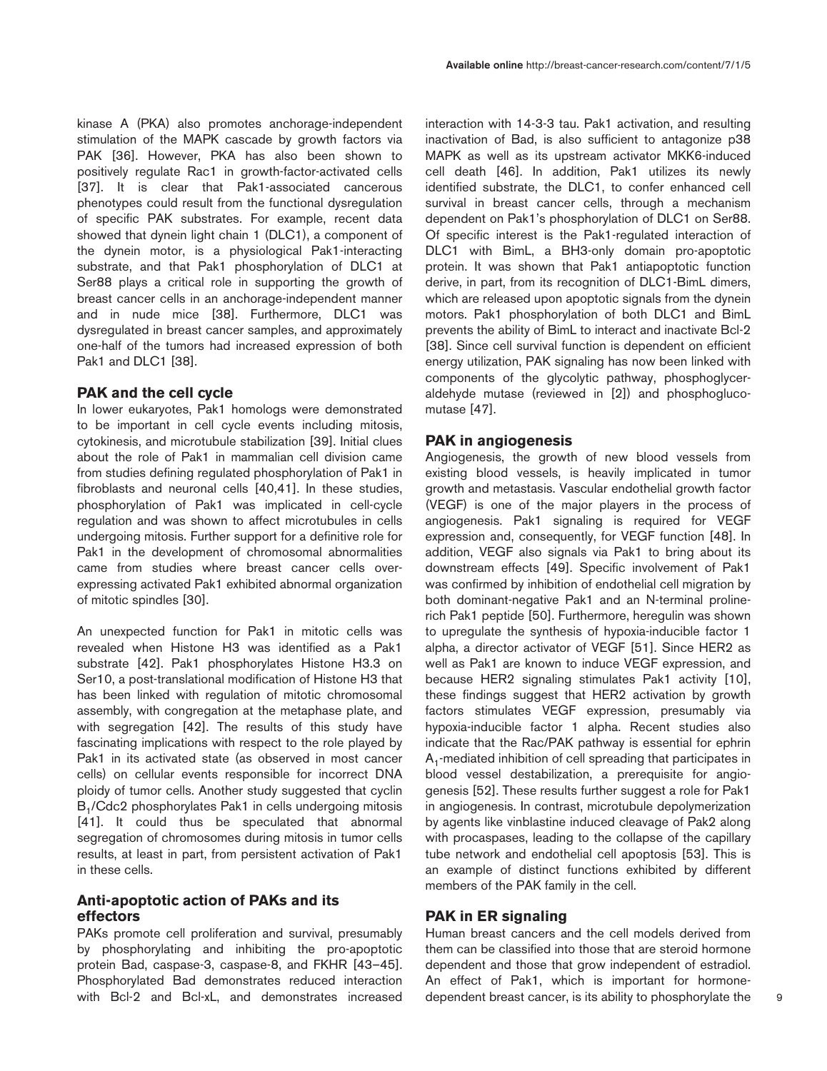kinase A (PKA) also promotes anchorage-independent stimulation of the MAPK cascade by growth factors via PAK [36]. However, PKA has also been shown to positively regulate Rac1 in growth-factor-activated cells [37]. It is clear that Pak1-associated cancerous phenotypes could result from the functional dysregulation of specific PAK substrates. For example, recent data showed that dynein light chain 1 (DLC1), a component of the dynein motor, is a physiological Pak1-interacting substrate, and that Pak1 phosphorylation of DLC1 at Ser88 plays a critical role in supporting the growth of breast cancer cells in an anchorage-independent manner and in nude mice [38]. Furthermore, DLC1 was dysregulated in breast cancer samples, and approximately one-half of the tumors had increased expression of both Pak1 and DLC1 [38].

## **PAK and the cell cycle**

In lower eukaryotes, Pak1 homologs were demonstrated to be important in cell cycle events including mitosis, cytokinesis, and microtubule stabilization [39]. Initial clues about the role of Pak1 in mammalian cell division came from studies defining regulated phosphorylation of Pak1 in fibroblasts and neuronal cells [40,41]. In these studies, phosphorylation of Pak1 was implicated in cell-cycle regulation and was shown to affect microtubules in cells undergoing mitosis. Further support for a definitive role for Pak1 in the development of chromosomal abnormalities came from studies where breast cancer cells overexpressing activated Pak1 exhibited abnormal organization of mitotic spindles [30].

An unexpected function for Pak1 in mitotic cells was revealed when Histone H3 was identified as a Pak1 substrate [42]. Pak1 phosphorylates Histone H3.3 on Ser10, a post-translational modification of Histone H3 that has been linked with regulation of mitotic chromosomal assembly, with congregation at the metaphase plate, and with segregation [42]. The results of this study have fascinating implications with respect to the role played by Pak1 in its activated state (as observed in most cancer cells) on cellular events responsible for incorrect DNA ploidy of tumor cells. Another study suggested that cyclin B<sub>1</sub>/Cdc2 phosphorylates Pak1 in cells undergoing mitosis [41]. It could thus be speculated that abnormal segregation of chromosomes during mitosis in tumor cells results, at least in part, from persistent activation of Pak1 in these cells.

# **Anti-apoptotic action of PAKs and its effectors**

PAKs promote cell proliferation and survival, presumably by phosphorylating and inhibiting the pro-apoptotic protein Bad, caspase-3, caspase-8, and FKHR [43–45]. Phosphorylated Bad demonstrates reduced interaction with Bcl-2 and Bcl-xL, and demonstrates increased interaction with 14-3-3 tau. Pak1 activation, and resulting inactivation of Bad, is also sufficient to antagonize p38 MAPK as well as its upstream activator MKK6-induced cell death [46]. In addition, Pak1 utilizes its newly identified substrate, the DLC1, to confer enhanced cell survival in breast cancer cells, through a mechanism dependent on Pak1's phosphorylation of DLC1 on Ser88. Of specific interest is the Pak1-regulated interaction of DLC1 with BimL, a BH3-only domain pro-apoptotic protein. It was shown that Pak1 antiapoptotic function derive, in part, from its recognition of DLC1-BimL dimers, which are released upon apoptotic signals from the dynein motors. Pak1 phosphorylation of both DLC1 and BimL prevents the ability of BimL to interact and inactivate Bcl-2 [38]. Since cell survival function is dependent on efficient energy utilization, PAK signaling has now been linked with components of the glycolytic pathway, phosphoglyceraldehyde mutase (reviewed in [2]) and phosphoglucomutase [47].

#### **PAK in angiogenesis**

Angiogenesis, the growth of new blood vessels from existing blood vessels, is heavily implicated in tumor growth and metastasis. Vascular endothelial growth factor (VEGF) is one of the major players in the process of angiogenesis. Pak1 signaling is required for VEGF expression and, consequently, for VEGF function [48]. In addition, VEGF also signals via Pak1 to bring about its downstream effects [49]. Specific involvement of Pak1 was confirmed by inhibition of endothelial cell migration by both dominant-negative Pak1 and an N-terminal prolinerich Pak1 peptide [50]. Furthermore, heregulin was shown to upregulate the synthesis of hypoxia-inducible factor 1 alpha, a director activator of VEGF [51]. Since HER2 as well as Pak1 are known to induce VEGF expression, and because HER2 signaling stimulates Pak1 activity [10], these findings suggest that HER2 activation by growth factors stimulates VEGF expression, presumably via hypoxia-inducible factor 1 alpha. Recent studies also indicate that the Rac/PAK pathway is essential for ephrin  $\mathsf{A}_1$ -mediated inhibition of cell spreading that participates in blood vessel destabilization, a prerequisite for angiogenesis [52]. These results further suggest a role for Pak1 in angiogenesis. In contrast, microtubule depolymerization by agents like vinblastine induced cleavage of Pak2 along with procaspases, leading to the collapse of the capillary tube network and endothelial cell apoptosis [53]. This is an example of distinct functions exhibited by different members of the PAK family in the cell.

#### **PAK in ER signaling**

Human breast cancers and the cell models derived from them can be classified into those that are steroid hormone dependent and those that grow independent of estradiol. An effect of Pak1, which is important for hormonedependent breast cancer, is its ability to phosphorylate the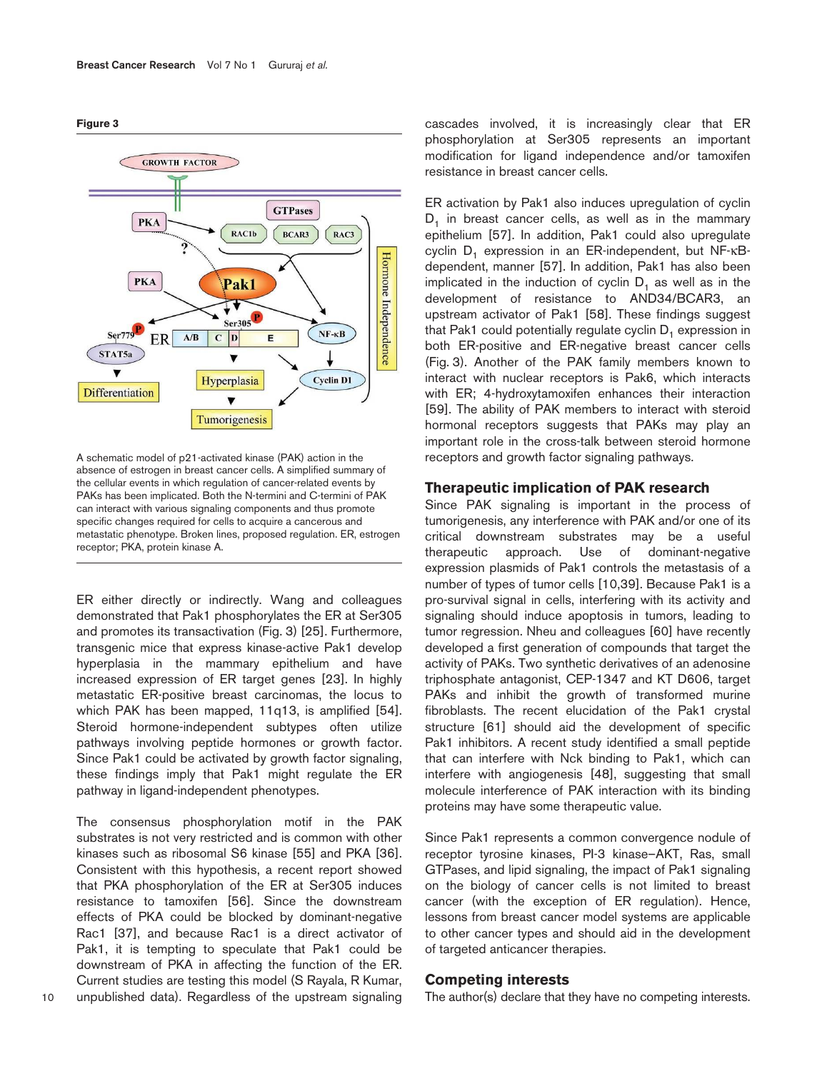**Figure 3**



A schematic model of p21-activated kinase (PAK) action in the absence of estrogen in breast cancer cells. A simplified summary of the cellular events in which regulation of cancer-related events by PAKs has been implicated. Both the N-termini and C-termini of PAK can interact with various signaling components and thus promote specific changes required for cells to acquire a cancerous and metastatic phenotype. Broken lines, proposed regulation. ER, estrogen receptor; PKA, protein kinase A.

ER either directly or indirectly. Wang and colleagues demonstrated that Pak1 phosphorylates the ER at Ser305 and promotes its transactivation (Fig. 3) [25]. Furthermore, transgenic mice that express kinase-active Pak1 develop hyperplasia in the mammary epithelium and have increased expression of ER target genes [23]. In highly metastatic ER-positive breast carcinomas, the locus to which PAK has been mapped, 11q13, is amplified [54]. Steroid hormone-independent subtypes often utilize pathways involving peptide hormones or growth factor. Since Pak1 could be activated by growth factor signaling, these findings imply that Pak1 might regulate the ER pathway in ligand-independent phenotypes.

The consensus phosphorylation motif in the PAK substrates is not very restricted and is common with other kinases such as ribosomal S6 kinase [55] and PKA [36]. Consistent with this hypothesis, a recent report showed that PKA phosphorylation of the ER at Ser305 induces resistance to tamoxifen [56]. Since the downstream effects of PKA could be blocked by dominant-negative Rac1 [37], and because Rac1 is a direct activator of Pak1, it is tempting to speculate that Pak1 could be downstream of PKA in affecting the function of the ER. Current studies are testing this model (S Rayala, R Kumar, unpublished data). Regardless of the upstream signaling

cascades involved, it is increasingly clear that ER phosphorylation at Ser305 represents an important modification for ligand independence and/or tamoxifen resistance in breast cancer cells.

ER activation by Pak1 also induces upregulation of cyclin  ${\mathsf D}_1$  in breast cancer cells, as well as in the mammary epithelium [57]. In addition, Pak1 could also upregulate cyclin D<sub>1</sub> expression in an ER-independent, but NF-κBdependent, manner [57]. In addition, Pak1 has also been implicated in the induction of cyclin  $D_1$  as well as in the development of resistance to AND34/BCAR3, an upstream activator of Pak1 [58]. These findings suggest that Pak1 could potentially regulate cyclin  $\mathsf{D}_1$  expression in both ER-positive and ER-negative breast cancer cells (Fig. 3). Another of the PAK family members known to interact with nuclear receptors is Pak6, which interacts with ER; 4-hydroxytamoxifen enhances their interaction [59]. The ability of PAK members to interact with steroid hormonal receptors suggests that PAKs may play an important role in the cross-talk between steroid hormone receptors and growth factor signaling pathways.

#### **Therapeutic implication of PAK research**

Since PAK signaling is important in the process of tumorigenesis, any interference with PAK and/or one of its critical downstream substrates may be a useful therapeutic approach. Use of dominant-negative expression plasmids of Pak1 controls the metastasis of a number of types of tumor cells [10,39]. Because Pak1 is a pro-survival signal in cells, interfering with its activity and signaling should induce apoptosis in tumors, leading to tumor regression. Nheu and colleagues [60] have recently developed a first generation of compounds that target the activity of PAKs. Two synthetic derivatives of an adenosine triphosphate antagonist, CEP-1347 and KT D606, target PAKs and inhibit the growth of transformed murine fibroblasts. The recent elucidation of the Pak1 crystal structure [61] should aid the development of specific Pak1 inhibitors. A recent study identified a small peptide that can interfere with Nck binding to Pak1, which can interfere with angiogenesis [48], suggesting that small molecule interference of PAK interaction with its binding proteins may have some therapeutic value.

Since Pak1 represents a common convergence nodule of receptor tyrosine kinases, PI-3 kinase–AKT, Ras, small GTPases, and lipid signaling, the impact of Pak1 signaling on the biology of cancer cells is not limited to breast cancer (with the exception of ER regulation). Hence, lessons from breast cancer model systems are applicable to other cancer types and should aid in the development of targeted anticancer therapies.

## **Competing interests**

The author(s) declare that they have no competing interests.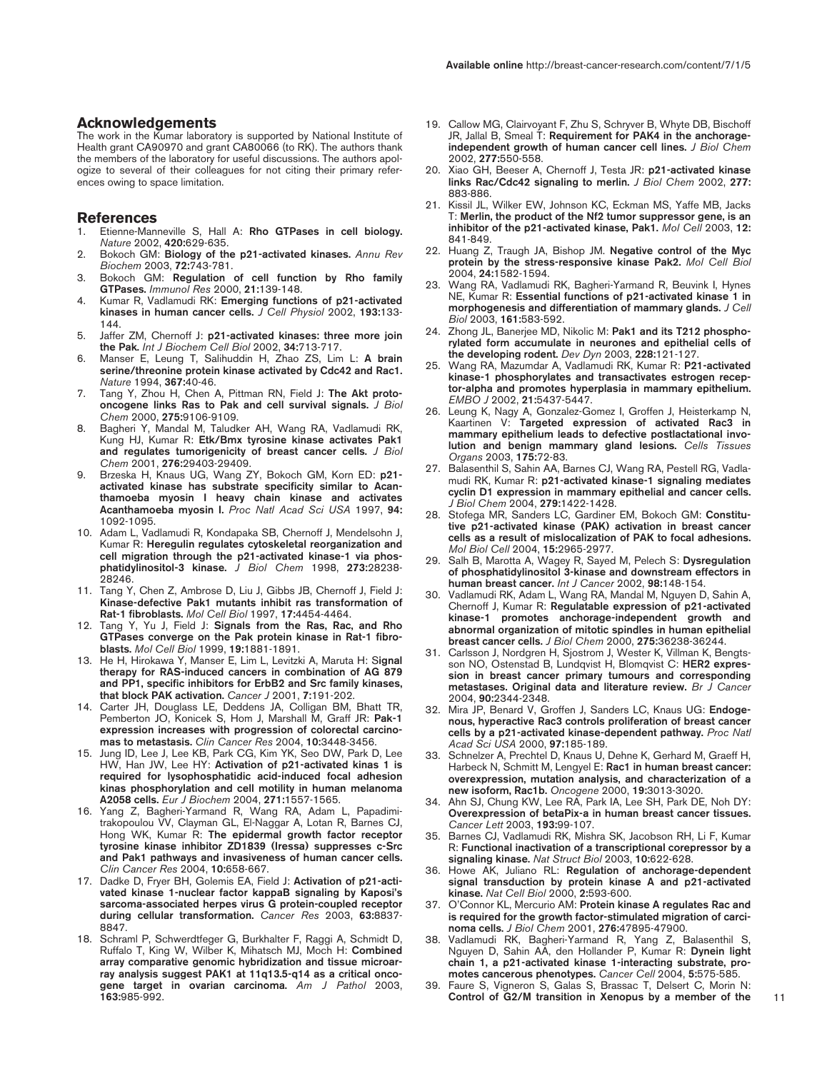#### **Acknowledgements**

The work in the Kumar laboratory is supported by National Institute of Health grant CA90970 and grant CA80066 (to RK). The authors thank the members of the laboratory for useful discussions. The authors apologize to several of their colleagues for not citing their primary references owing to space limitation.

#### **References**

- 1. Etienne-Manneville S, Hall A: Rho GTPases in cell biology. Nature 2002, 420:629-635.
- 2. Bokoch GM: Biology of the p21-activated kinases. Annu Rev Biochem 2003, 72:743-781.
- Bokoch GM: Regulation of cell function by Rho family GTPases. Immunol Res 2000, 21:139-148.
- 4. Kumar R, Vadlamudi RK: Emerging functions of p21-activated kinases in human cancer cells. J Cell Physiol 2002, 193:133-144.
- 5. Jaffer ZM, Chernoff J: p21-activated kinases: three more join the Pak. Int J Biochem Cell Biol 2002, 34:713-717.
- 6. Manser E, Leung T, Salihuddin H, Zhao ZS, Lim L: A brain serine/threonine protein kinase activated by Cdc42 and Rac1. Nature 1994, 367:40-46.
- 7. Tang Y, Zhou H, Chen A, Pittman RN, Field J: The Akt protooncogene links Ras to Pak and cell survival signals. J Biol Chem 2000, 275:9106-9109.
- 8. Bagheri Y, Mandal M, Taludker AH, Wang RA, Vadlamudi RK, Kung HJ, Kumar R: Etk/Bmx tyrosine kinase activates Pak1 and regulates tumorigenicity of breast cancer cells. J Biol Chem 2001, 276:29403-29409.
- 9. Brzeska H, Knaus UG, Wang ZY, Bokoch GM, Korn ED: p21activated kinase has substrate specificity similar to Acanthamoeba myosin I heavy chain kinase and activates Acanthamoeba myosin I. Proc Natl Acad Sci USA 1997, 94: 1092-1095.
- 10. Adam L, Vadlamudi R, Kondapaka SB, Chernoff J, Mendelsohn J, Kumar R: Heregulin regulates cytoskeletal reorganization and cell migration through the p21-activated kinase-1 via phosphatidylinositol-3 kinase. J Biol Chem 1998, 273:28238-28246.
- 11. Tang Y, Chen Z, Ambrose D, Liu J, Gibbs JB, Chernoff J, Field J: Kinase-defective Pak1 mutants inhibit ras transformation of Rat-1 fibroblasts. Mol Cell Biol 1997, 17:4454-4464.
- 12. Tang Y, Yu J, Field J: Signals from the Ras, Rac, and Rho GTPases converge on the Pak protein kinase in Rat-1 fibroblasts. Mol Cell Biol 1999, 19:1881-1891.
- 13. He H, Hirokawa Y, Manser E, Lim L, Levitzki A, Maruta H: Signal therapy for RAS-induced cancers in combination of AG 879 and PP1, specific inhibitors for ErbB2 and Src family kinases, that block PAK activation. Cancer J 2001, 7:191-202.
- 14. Carter JH, Douglass LE, Deddens JA, Colligan BM, Bhatt TR, Pemberton JO, Konicek S, Hom J, Marshall M, Graff JR: Pak-1 expression increases with progression of colorectal carcinomas to metastasis. Clin Cancer Res 2004, 10:3448-3456.
- 15. Jung ID, Lee J, Lee KB, Park CG, Kim YK, Seo DW, Park D, Lee HW, Han JW, Lee HY: Activation of p21-activated kinas 1 is required for lysophosphatidic acid-induced focal adhesion kinas phosphorylation and cell motility in human melanoma A2058 cells. Eur J Biochem 2004, 271:1557-1565.
- 16. Yang Z, Bagheri-Yarmand R, Wang RA, Adam L, Papadimitrakopoulou VV, Clayman GL, El-Naggar A, Lotan R, Barnes CJ, Hong WK, Kumar R: The epidermal growth factor receptor tyrosine kinase inhibitor ZD1839 (Iressa) suppresses c-Src and Pak1 pathways and invasiveness of human cancer cells. Clin Cancer Res 2004, 10:658-667.
- 17. Dadke D, Fryer BH, Golemis EA, Field J: Activation of p21-activated kinase 1-nuclear factor kappaB signaling by Kaposi's sarcoma-associated herpes virus G protein-coupled receptor during cellular transformation. Cancer Res 2003, 63:8837- 8847.
- 18. Schraml P, Schwerdtfeger G, Burkhalter F, Raggi A, Schmidt D, Ruffalo T, King W, Wilber K, Mihatsch MJ, Moch H: Combined array comparative genomic hybridization and tissue microarray analysis suggest PAK1 at 11q13.5-q14 as a critical oncogene target in ovarian carcinoma. Am J Pathol 2003, 163:985-992.
- 19. Callow MG, Clairvoyant F, Zhu S, Schryver B, Whyte DB, Bischoff JR, Jallal B, Smeal T: Requirement for PAK4 in the anchorageindependent growth of human cancer cell lines. J Biol Chem 2002, 277:550-558.
- 20. Xiao GH, Beeser A, Chernoff J, Testa JR: p21-activated kinase links Rac/Cdc42 signaling to merlin. J Biol Chem 2002, 277: 883-886.
- 21. Kissil JL, Wilker EW, Johnson KC, Eckman MS, Yaffe MB, Jacks T: Merlin, the product of the Nf2 tumor suppressor gene, is an inhibitor of the p21-activated kinase, Pak1. Mol Cell 2003, 12: 841-849.
- 22. Huang Z, Traugh JA, Bishop JM. Negative control of the Myc protein by the stress-responsive kinase Pak2. Mol Cell Biol 2004, 24:1582-1594.
- 23. Wang RA, Vadlamudi RK, Bagheri-Yarmand R, Beuvink I, Hynes NE, Kumar R: Essential functions of p21-activated kinase 1 in morphogenesis and differentiation of mammary glands. J Cell Biol 2003, 161:583-592.
- 24. Zhong JL, Banerjee MD, Nikolic M: Pak1 and its T212 phosphorylated form accumulate in neurones and epithelial cells of the developing rodent. Dev Dyn 2003, 228:121-127.
- 25. Wang RA, Mazumdar A, Vadlamudi RK, Kumar R: P21-activated kinase-1 phosphorylates and transactivates estrogen receptor-alpha and promotes hyperplasia in mammary epithelium. EMBO J 2002, 21:5437-5447.
- 26. Leung K, Nagy A, Gonzalez-Gomez I, Groffen J, Heisterkamp N, Kaartinen V: Targeted expression of activated Rac3 in mammary epithelium leads to defective postlactational involution and benign mammary gland lesions. Cells Tissues Organs 2003, 175:72-83.
- 27. Balasenthil S, Sahin AA, Barnes CJ, Wang RA, Pestell RG, Vadlamudi RK, Kumar R: p21-activated kinase-1 signaling mediates cyclin D1 expression in mammary epithelial and cancer cells. J Biol Chem 2004, 279:1422-1428.
- 28. Stofega MR, Sanders LC, Gardiner EM, Bokoch GM: Constitutive p21-activated kinase (PAK) activation in breast cancer cells as a result of mislocalization of PAK to focal adhesions. Mol Biol Cell 2004, 15:2965-2977.
- 29. Salh B, Marotta A, Wagey R, Sayed M, Pelech S: Dysregulation of phosphatidylinositol 3-kinase and downstream effectors in human breast cancer. Int J Cancer 2002, 98:148-154.
- 30. Vadlamudi RK, Adam L, Wang RA, Mandal M, Nguyen D, Sahin A, Chernoff J, Kumar R: Regulatable expression of p21-activated kinase-1 promotes anchorage-independent growth and abnormal organization of mitotic spindles in human epithelial breast cancer cells. J Biol Chem 2000, 275:36238-36244.
- 31. Carlsson J, Nordgren H, Sjostrom J, Wester K, Villman K, Bengtsson NO, Ostenstad B, Lundqvist H, Blomqvist C: HER2 expression in breast cancer primary tumours and corresponding metastases. Original data and literature review. Br J Cancer 2004, 90:2344-2348.
- 32. Mira JP, Benard V, Groffen J, Sanders LC, Knaus UG: Endogenous, hyperactive Rac3 controls proliferation of breast cancer cells by a p21-activated kinase-dependent pathway. Proc Natl Acad Sci USA 2000, 97:185-189.
- 33. Schnelzer A, Prechtel D, Knaus U, Dehne K, Gerhard M, Graeff H, Harbeck N, Schmitt M, Lengyel E: Rac1 in human breast cancer: overexpression, mutation analysis, and characterization of a new isoform, Rac1b. Oncogene 2000, 19:3013-3020.
- 34. Ahn SJ, Chung KW, Lee RA, Park IA, Lee SH, Park DE, Noh DY: Overexpression of betaPix-a in human breast cancer tissues. Cancer Lett 2003, 193:99-107.
- 35. Barnes CJ, Vadlamudi RK, Mishra SK, Jacobson RH, Li F, Kumar R: Functional inactivation of a transcriptional corepressor by a signaling kinase. Nat Struct Biol 2003, 10:622-628.
- 36. Howe AK, Juliano RL: Regulation of anchorage-dependent signal transduction by protein kinase A and p21-activated kinase. Nat Cell Biol 2000, 2:593-600.
- 37. O'Connor KL, Mercurio AM: Protein kinase A regulates Rac and is required for the growth factor-stimulated migration of carcinoma cells. J Biol Chem 2001, 276:47895-47900.
- 38. Vadlamudi RK, Bagheri-Yarmand R, Yang Z, Balasenthil S, Nguyen D, Sahin AA, den Hollander P, Kumar R: Dynein light chain 1, a p21-activated kinase 1-interacting substrate, promotes cancerous phenotypes. Cancer Cell 2004, 5:575-585.
- 39. Faure S, Vigneron S, Galas S, Brassac T, Delsert C, Morin N: Control of G2/M transition in Xenopus by a member of the